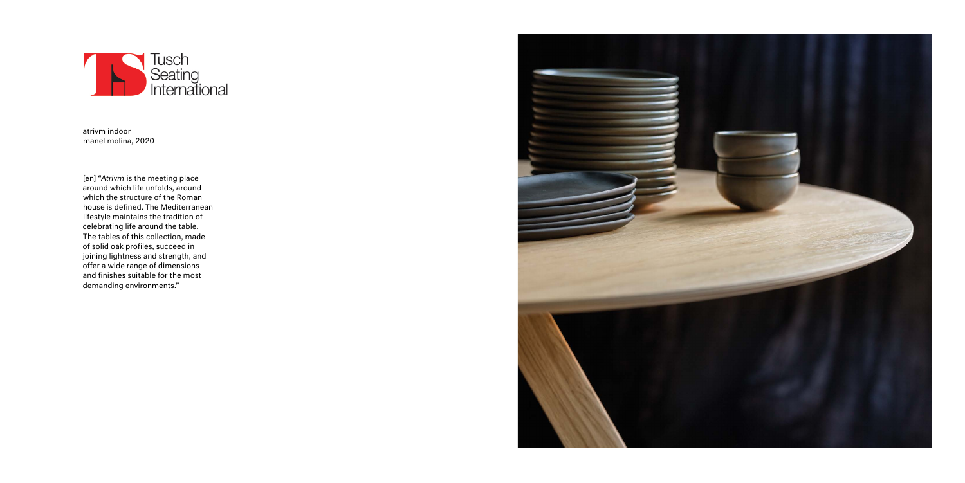[en] "*Atrivm* is the meeting place around which life unfolds, around which the structure of the Roman house is defined. The Mediterranean lifestyle maintains the tradition of celebrating life around the table. The tables of this collection, made of solid oak profiles, succeed in joining lightness and strength, and offer a wide range of dimensions and finishes suitable for the most demanding environments."





atrivm indoor manel molina, 2020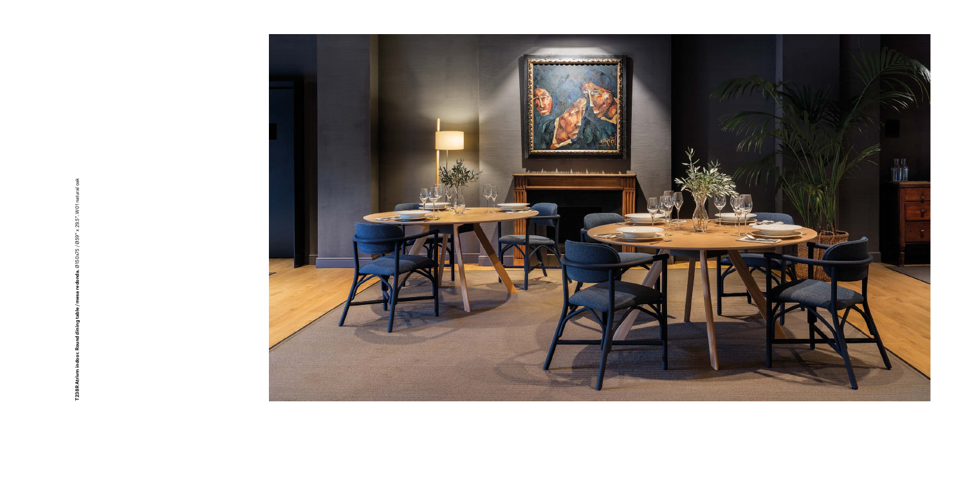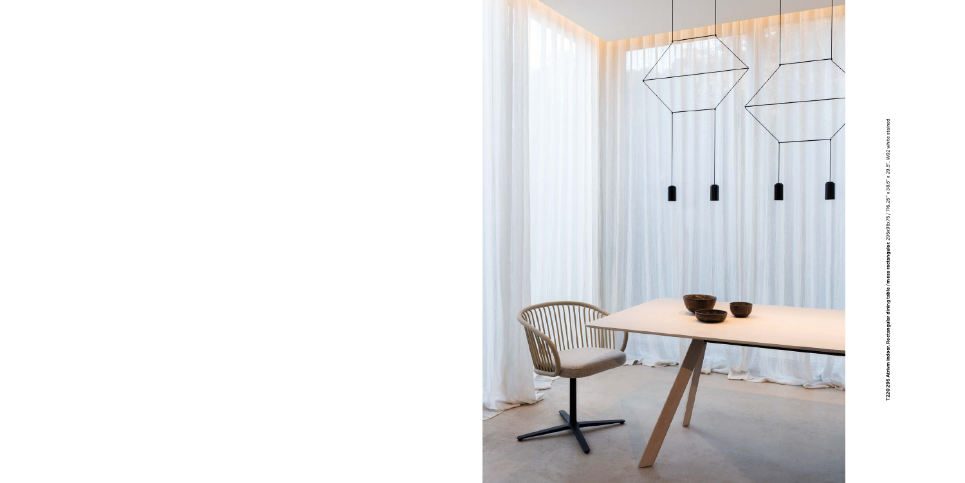

T220 295 Atrivm indoor. Rectangular dining table / mesa rectangular. 295x98x75 / 116.25" x 38.5" x 29.5". W02 white stained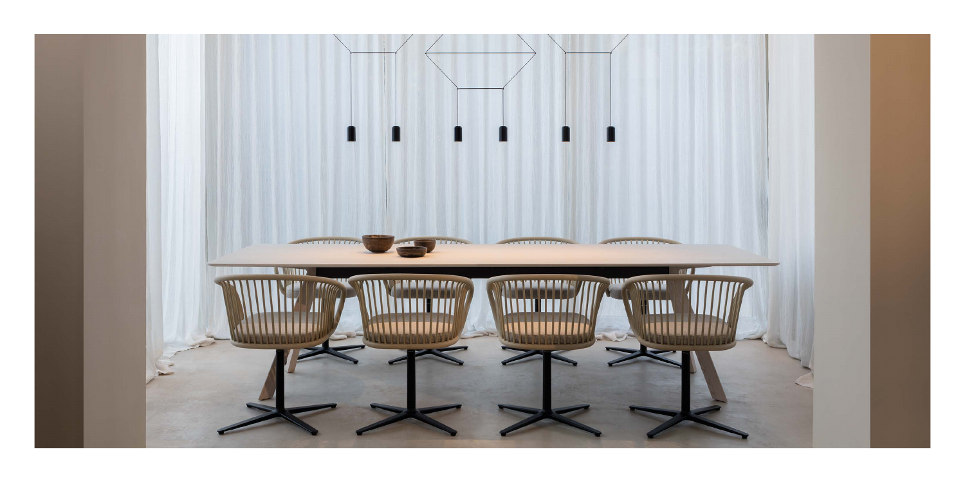